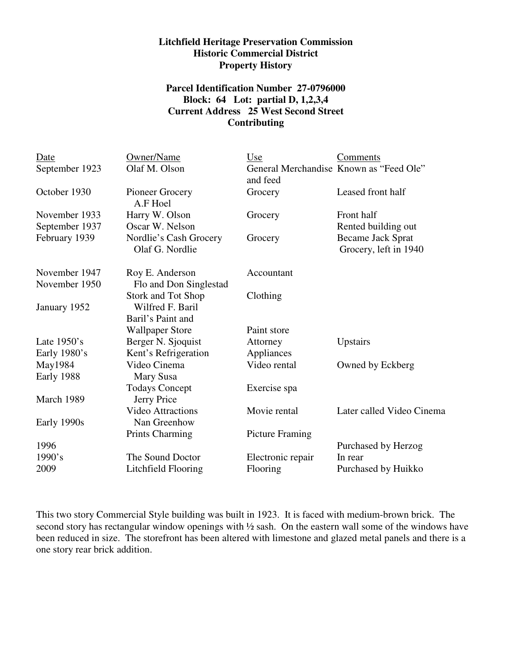## **Litchfield Heritage Preservation Commission Historic Commercial District Property History**

## **Parcel Identification Number 27-0796000 Block: 64 Lot: partial D, 1,2,3,4 Current Address 25 West Second Street Contributing**

| Date           | Owner/Name                                | Use                    | Comments                                          |
|----------------|-------------------------------------------|------------------------|---------------------------------------------------|
| September 1923 | Olaf M. Olson                             | and feed               | General Merchandise Known as "Feed Ole"           |
| October 1930   | Pioneer Grocery<br>A.F Hoel               | Grocery                | Leased front half                                 |
| November 1933  | Harry W. Olson                            | Grocery                | Front half                                        |
| September 1937 | Oscar W. Nelson                           |                        | Rented building out                               |
| February 1939  | Nordlie's Cash Grocery<br>Olaf G. Nordlie | Grocery                | <b>Became Jack Sprat</b><br>Grocery, left in 1940 |
| November 1947  | Roy E. Anderson                           | Accountant             |                                                   |
| November 1950  | Flo and Don Singlestad                    |                        |                                                   |
|                | <b>Stork and Tot Shop</b>                 | Clothing               |                                                   |
| January 1952   | Wilfred F. Baril                          |                        |                                                   |
|                | Baril's Paint and                         |                        |                                                   |
|                | <b>Wallpaper Store</b>                    | Paint store            |                                                   |
| Late $1950$ 's | Berger N. Sjoquist                        | Attorney               | Upstairs                                          |
| Early 1980's   | Kent's Refrigeration                      | Appliances             |                                                   |
| May1984        | Video Cinema                              | Video rental           | Owned by Eckberg                                  |
| Early 1988     | Mary Susa                                 |                        |                                                   |
|                | <b>Todays Concept</b>                     | Exercise spa           |                                                   |
| March 1989     | Jerry Price                               |                        |                                                   |
|                | <b>Video Attractions</b>                  | Movie rental           | Later called Video Cinema                         |
| Early 1990s    | Nan Greenhow                              |                        |                                                   |
|                | <b>Prints Charming</b>                    | <b>Picture Framing</b> |                                                   |
| 1996           |                                           |                        | Purchased by Herzog                               |
| 1990's         | The Sound Doctor                          | Electronic repair      | In rear                                           |
| 2009           | Litchfield Flooring                       | Flooring               | Purchased by Huikko                               |
|                |                                           |                        |                                                   |

This two story Commercial Style building was built in 1923. It is faced with medium-brown brick. The second story has rectangular window openings with  $\frac{1}{2}$  sash. On the eastern wall some of the windows have been reduced in size. The storefront has been altered with limestone and glazed metal panels and there is a one story rear brick addition.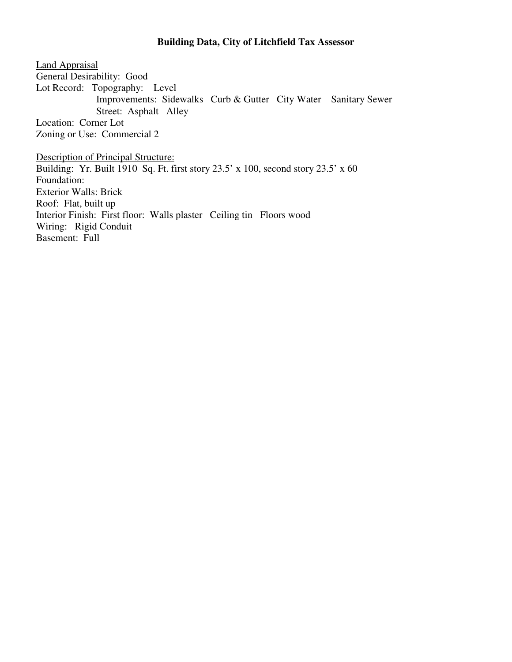## **Building Data, City of Litchfield Tax Assessor**

Land Appraisal General Desirability: Good Lot Record: Topography: Level Improvements: Sidewalks Curb & Gutter City Water Sanitary Sewer Street: Asphalt Alley Location: Corner Lot Zoning or Use: Commercial 2

Description of Principal Structure: Building: Yr. Built 1910 Sq. Ft. first story 23.5' x 100, second story 23.5' x 60 Foundation: Exterior Walls: Brick Roof: Flat, built up Interior Finish: First floor: Walls plaster Ceiling tin Floors wood Wiring: Rigid Conduit Basement: Full